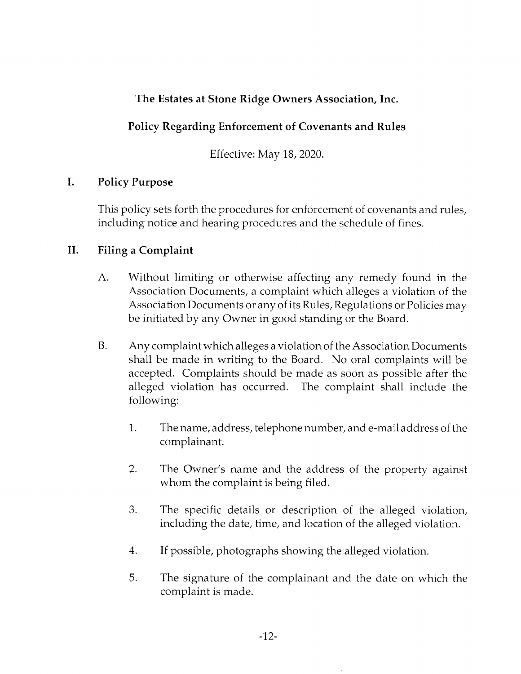## The Estates at Stone Ridge Owners Association, Inc.

# Policy Regarding Enforcement of Covenants and Rules

Effective: May 18, 2020.

### I. Policy Purpose

This policy sets forth the procedures for enforcement of covenants and rules, including notice and hearing procedures and the schedule of fines.

### II. Filing a Complaint

- A. Without limiting or otherwise affecting any remedy found in the Association Documents, a complaint which alleges a violation of the Association Documents or any of its Rules, Regulations or Policies may be initiated by any Owner in good standing or the Board.
- B. Any complaint which alleges a violation of the Association Documents shall be made in writing to the Board. No oral complaints will be accepted. Complaints should be made as soon as possible after the alleged violation has occurred. The complaint shall include the following:
	- 1. The name, address, telephone number, and e-mail address of the complainant.
	- 2. The Owner's name and the address of the property against whom the complaint is being filed.
	- 3. The specific details or description of the alleged violation, including the date, time, and location of the alleged violation.
	- 4. If possible, photographs showing the alleged violation.
	- 5. The signature of the complainant and the date on which the complaint is made.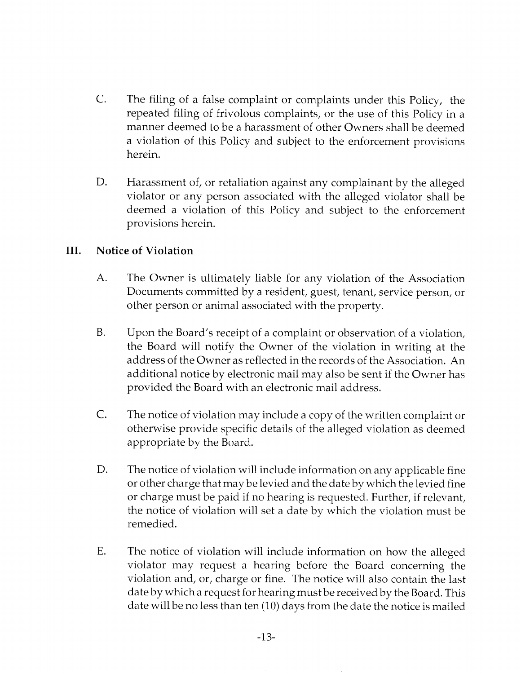- The filing of a false complaint or complaints under this Policy, the repeated filing of frivolous complaints, or the use of this Policy in <sup>a</sup> manner deemed to be a harassment of other Owners shall be deemed a violation of this Policy and subject to the enforcement provisions herein. C.
- Harassment of, or retaliation against any complainant by the alleged violator or any person associated with the alleged violator shall be deemed a violation of this Policy and subject to the enforcement provisions herein. D.

### III. Notice of Violation

- The Owner is ultimately liable for any violation of the Association Documents committed by a resident, guest, tenant, service person, or other person or animal associated with the property. A.
- Upon the Board's receipt of a complaint or observation of a violation, the Board will notify the Owner of the violation in writing at the address of the Owner as reflected in the records of the Association. An additional notice by electronic mail may also be sent if the Owner has provided the Board with an electronic mail address. B.
- C. The notice of violation may include a copy of the written complaint or otherwise provide specific details of the alleged violation as deemed appropriate by the Board.
- The notice of violation will include information on any applicable fine or other charge that maybe levied and the date by which the levied fine or charge must be paid if no hearing is requested. Further, if relevant, the notice of violation will set a date by which the violation must be remedied. D.
- The notice of violation will include information on how the alleged violator may request a hearing before the Board concerning the violation and, or, charge or fine. The notice will also contain the last date by which a request for hearing must be received by the Board. This date will be no less than ten (10) days from the date the notice is mailed E.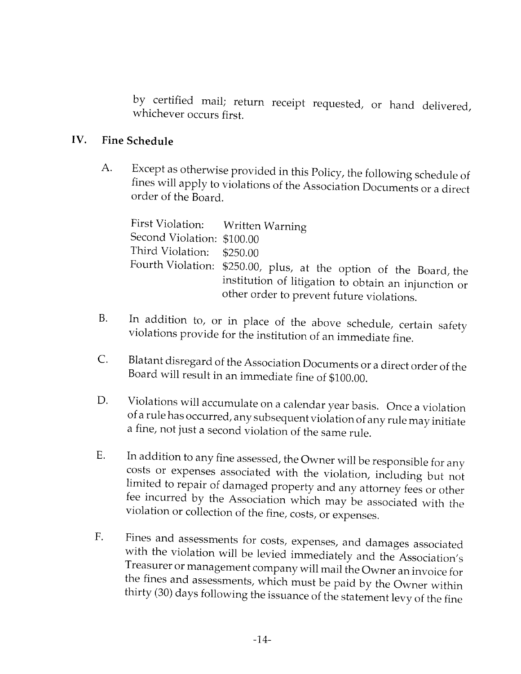by certified mail; return receipt requested, or hand deiivered, whichever occurs first.

### IV. Fine Schedule

Except as otherwise provided in this Policy, the following schedule of fines will apply to violations of the Association Documents or a direct order of the Board. A.

| Second Violation: \$100.00 | First Violation: Written Warning                                                                                                                                       |
|----------------------------|------------------------------------------------------------------------------------------------------------------------------------------------------------------------|
| Third Violation: \$250.00  |                                                                                                                                                                        |
|                            | Fourth Violation: \$250.00, plus, at the option of the Board, the<br>institution of litigation to obtain an injunction or<br>other order to prevent future violations. |

- In addition to, or in place of the above schedule, certain safety violations provide for the institution of an immediate fine. B.
- Blatant disregard of the Association Documents or a direct order of the Board will result in an immediate fine of \$100.00. C.
- Violations will accumulate on a calendar year basis. Once a violation of a rule has occurred, any subsequent violation of any rule may initiate a fine, not just a second violation of the same rule. D.
- In addition to any fine assessed, the Owner will be responsible for any costs or expenses associated with the violation, including but not limited to repair of damaged property and any attorney fees or other fee incurred b E.
- Fines and assessments for costs, expenses, and damages associated<br>with the violation will be levied immediately and the Association's<br>Treasurer or management company will mail the Owner an invoice for<br>the fines and assessm .F.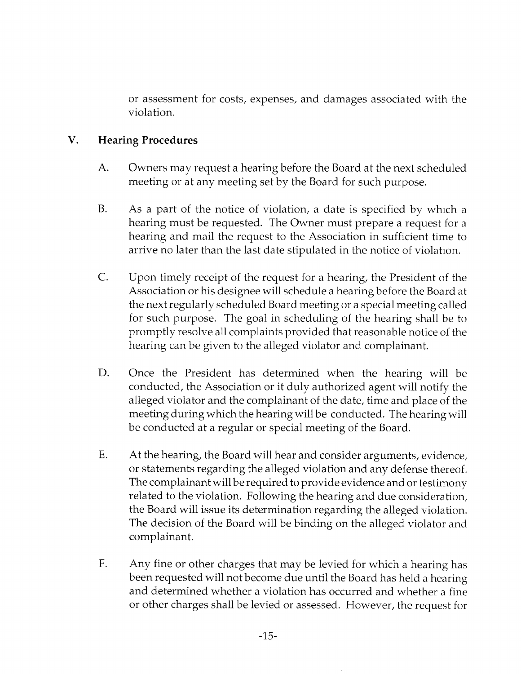or assessment for costs, expenses, and damages associated with the violation.

#### V. Hearing Procedures

- A. Owners may request a hearing before the Board at the next scheduled meeting or at any meeting set by the Board for such purpose.
- B. As a part of the notice of violation, a date is specified by which <sup>a</sup> hearing must be requested. The Owner must prepare a request for <sup>a</sup> hearing and mail the request to the Association in sufficient time to arrive no later than the last date stipulated in the notice of violation.
- C. Upon timely receipt of the request for a hearing, the President of the Association or his designee will schedule a hearing before the Board at the next regularly scheduled Board meeting or a special meeting called for such purpose. The goal in scheduling of the hearing shall be to promptly resolve all complaints provided that reasonable notice of the hearing can be given to the alleged violator and complainant.
- D. Once the President has determined when the hearing will be conducted, the Association or it duly authorized agent will notify the alleged violator and the complainant of the date, time and place of the meeting during which the hearing will be conducted. The hearing will be conducted at a regular or special meeting of the Board.
- E. At the hearing, the Board will hear and consider arguments, evidence, or statements regarding the alleged violation and any defense thereof. The complainant will be required to provide evidence and or testimony related to the violation. Following the hearing and due consideration, the Board will issue its determination regarding the aileged violation. The decision of the Board will be binding on the alleged violator and complainant.
- F. Any fine or other charges that may be levied for which a hearing has been requested will not become due until the Board has held a hearing and determined whether a violation has occurred and whether a fine or other charges shall be levied or assessed. However, the request for